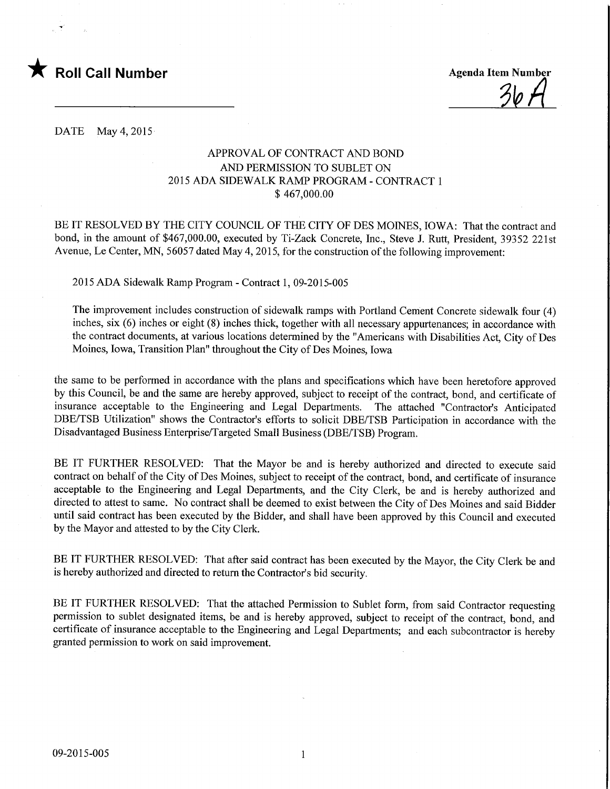

%A

DATE May 4,2015

## APPROVAL OF CONTRACT AND BOND AND PERMISSION TO SUBLET ON 2015 ADA SIDEWALK RAMP PROGRAM - CONTRACT 1 \$ 467,000.00

BE IT RESOLVED BY THE CITY COUNCIL OF THE CITY OF DES MOINES, IOWA: That the contract and bond, in the amount of \$467,000.00, executed by Ti-Zack Concrete, Inc., Steve J. Rutt, President, 39352 221st Avenue, Le Center, MN, 56057 dated May 4,2015, for the construction of the following improvement:

2015 ADA Sidewalk Ramp Program - Contract 1, 09-2015-005

The improvement includes construction of sidewalk ramps with Portland Cement Concrete sidewalk four (4) inches, six (6) inches or eight (8) inches thick, together with all necessary appurtenances; in accordance with the contract documents, at various locations determined by the "Americans with Disabilities Act, City of Des Moines, Iowa, Transition Plan" throughout the City of Des Moines, Iowa

the same to be performed in accordance with the plans and specifications which have been heretofore approved by this Council, be and the same are hereby approved, subject to receipt of the contract, bond, and certificate of insurance acceptable to the Engineering and Legal Departments. The attached "Contractor's Anticipated DBE/TSB Utilization" shows the Contractor's efforts to solicit DBE/TSB Participation in accordance with the Disadvantaged Business Enterprise/Targeted Small Business (DBE/TSB) Program.

BE IT FURTHER RESOLVED: That the Mayor be and is hereby authorized and directed to execute said contract on behalf of the City of Des Moines, subject to receipt of the contract, bond, and certificate of insurance acceptable to the Engineering and Legal Departments, and the City Clerk, be and is hereby authorized and directed to attest to same. No contract shall be deemed to exist between the City of Des Moines and said Bidder until said contract has been executed by the Bidder, and shall have been approved by this Council and executed by the Mayor and attested to by the City Clerk.

BE IT FURTHER RESOLVED: That after said contract has been executed by the Mayor, the City Clerk be and is hereby authorized and directed to return the Contractor's bid security.

BE IT FURTHER RESOLVED: That the attached Permission to Sublet form, from said Contractor requesting permission to sublet designated items, be and is hereby approved, subject to receipt of the contract, bond, and certificate of insurance acceptable to the Engineering and Legal Departments; and each subcontractor is hereby granted permission to work on said improvement.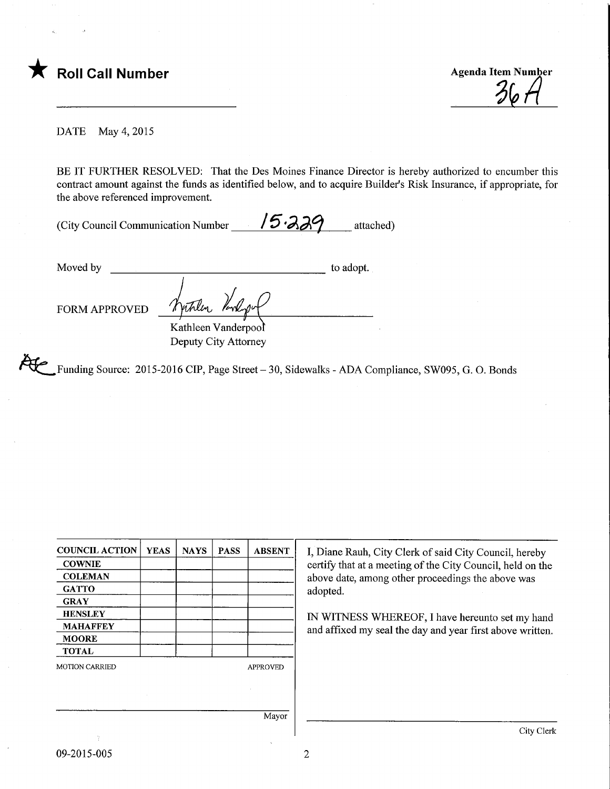

**Agenda Item Number** 

DATE May 4,2015

BE IT FURTHER RESOLVED: That the Des Moines Finance Director is hereby authorized to encumber this contract amount against the funds as identified below, and to acquire Builder's Risk Insurance, if appropriate, for the above referenced improvement.

(City Council Communication Number  $15.339$  attached)

Moved by to adopt. vitrlen FORM APPROVED Kathleen Vanderpool

Deputy City Attorney

Funding Source: 2015-2016 CIP, Page Street- 30, Sidewalks - ADA Compliance, SW095, G. 0. Bonds

| <b>COUNCIL ACTION</b> | <b>YEAS</b> | <b>NAYS</b> | <b>PASS</b> | <b>ABSENT</b>   | I, Diane Rauh, City Clerk of said City Council, hereby                                                                                                                        |  |
|-----------------------|-------------|-------------|-------------|-----------------|-------------------------------------------------------------------------------------------------------------------------------------------------------------------------------|--|
| <b>COWNIE</b>         |             |             |             |                 | certify that at a meeting of the City Council, held on the                                                                                                                    |  |
| <b>COLEMAN</b>        |             |             |             |                 | above date, among other proceedings the above was<br>adopted.<br>IN WITNESS WHEREOF, I have hereunto set my hand<br>and affixed my seal the day and year first above written. |  |
| <b>GATTO</b>          |             |             |             |                 |                                                                                                                                                                               |  |
| <b>GRAY</b>           |             |             |             |                 |                                                                                                                                                                               |  |
| <b>HENSLEY</b>        |             |             |             |                 |                                                                                                                                                                               |  |
| <b>MAHAFFEY</b>       |             |             |             |                 |                                                                                                                                                                               |  |
| <b>MOORE</b>          |             |             |             |                 |                                                                                                                                                                               |  |
| <b>TOTAL</b>          |             |             |             |                 |                                                                                                                                                                               |  |
| <b>MOTION CARRIED</b> |             |             |             | <b>APPROVED</b> |                                                                                                                                                                               |  |
|                       |             |             |             |                 |                                                                                                                                                                               |  |
|                       |             |             |             |                 |                                                                                                                                                                               |  |
|                       |             |             |             | Mayor           |                                                                                                                                                                               |  |
|                       |             |             |             |                 | City Clerk                                                                                                                                                                    |  |

 $\overline{2}$